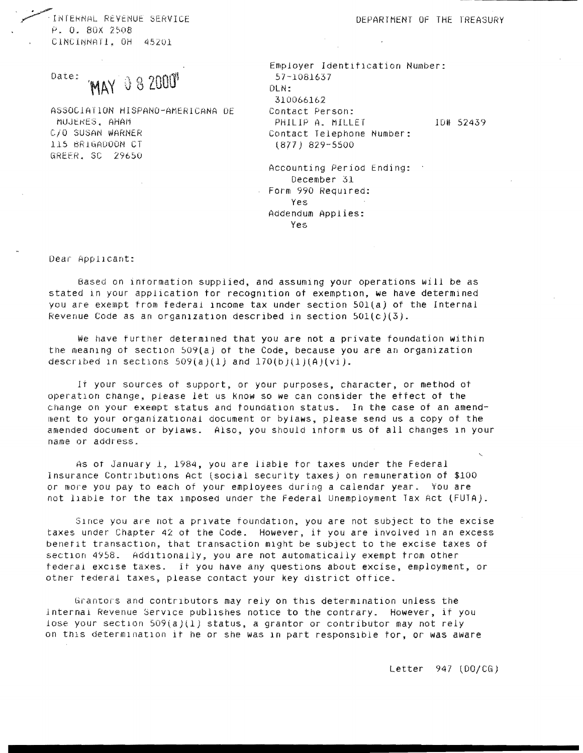INTERNAL REVENUE SERVICE DE CONTROL DEPARTMENT OF THE TREASURY  $P. 0. 80X 2508$ CINCINNATI, OH 45201

Date:  $MAY = 82000^8$  57-1081637

ASSOCIATlON HISPANO-AMERICANA DE Contact Person: MU,jt::I":ES. AHAr1 PHILIP A. MILLET 1 Dil 524.3'1 115 BRIGADOON CT (877) 829-5500 GREER, SC 29650

Employer IdentIfication Number: DLN: 310066162 Contact Telephone Number:

Accounting Period Ending: December 31 Form 990 Requ1red: Yes Addendum Applies: Yes

Dear Applicant:

Based on Information supplied, and assuming your operations will be as stated in your application for recognition of exemption, we have determined you are exempt from federal income tax under section 501(a) of the Internal Revenue Code as an organization described in section  $501(c)(3)$ .

We have further determined that you are not a private foundation within the meaning of section  $509(a)$  of the Code, because you are an organization described in sections  $509(a)(1)$  and  $170(b)(1)(A)(vi)$ .

It your sources of support, or your purposes, character, or method of operation change, please let us Know so we can consider the effect of the change on your exempt status and founaation status. In the case of an amendment to your organizatIonal document or bylaws, please send us a copy of the amended document or bylaws. Also. you should Inform us of all changes In your name or address.

As of January 1, 1984, you are liable for taxes under the Federal Insurance Contrlbutions Act lsocial security taxes) on remuneration of \$100 or more you pay to each of your employees during a calendar year. You are not liable for the tax imposed under the Federal Unemployment Tax Act (FUTA).

Since you are not a private foundation, you are not subject to the excise taxes under Chapter 42 of the Code. However, if you are involved in an excess benefit transaction, that transaction might be subject to the excise taxes of section 4958. Additionally, you are not automatically exempt from other federal excise taxes. It you have any questions about excise, employment, or other federal taxes, please contact your key dIstrict office.

Grantors and contributors may rely on this determination unless the Internal Revenue Servlce publIshes notice to the contrary. However, if you lose your section 509(a)(1) status, a grantor or contributor may not rely on this determination if he or she was in part responsible for, or was aware

Letter 947 (DO/CG)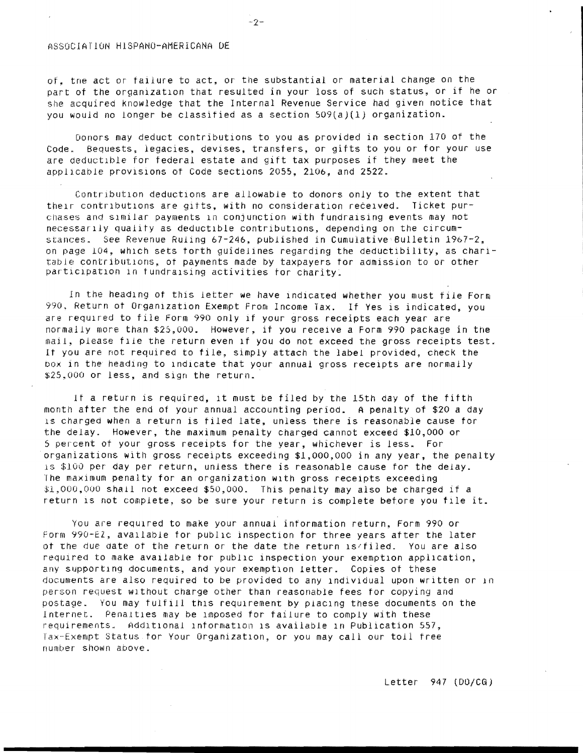#### ASSOCIATION HlSPANO-AMERICANA DE

of, the act or failure to act, or the substantial or material change on the part of the organization that resulted in your loss of such status, or if he or she acquired knowledge that the Internal Revenue Service had given notice that you would no longer be classified as a section 509(a)(1) organization.

 $-2-$ 

Donors may deduct contributions to you as provided in section 170 of the Code. Bequests, legacies, devises, transfers, or gifts to you or for your use are deductIble for federal estate and gift tax purposes if they meet the applicable provisions of Code sections 2055, 2106, and 2522.

ContributIon deductions are allowable to donors only to the extent that their contributions are gifts, with no consideration received. Ticket purchases and Similar payments In conjunction with fundralsing events may not necessarIly quality as deductIble contributIons, depending on the circumstances. See Revenue Ruling 67-246, published in Cumulative-Bulletin 1967-2, on page 104, WhICh sets torth guidelInes regarding the deductIbilIty, as charltable contributions, of payments made by taxpayers for admission to or other participation in fundraising activities for charity.

In the heading of this letter we have indicated whether you must file Form 990, Return ot OrganIzation Exempt from Income Tax. If Yes is indicated, you are reqUIred to file Form 990 only If your gross receipts each year are normally more than \$25,000. However, if you receive a Form 990 package in the mail, please fIle the return even If you do not exceed the gross receipts test. It you are not required to file. simply attach the label provided, check the box in the heading to indicate that your annual gross receipts are normally \$25,000 or less, and Sign the return.

If a return is required, It must be filed by the 15th day of the fifth month after the end of your annual accounting period. A penalty of \$20 a day 1S charged when a return is filed late. unless there is reasonable cause for the delay. However, the maximum penalty Charged cannot exceed \$10,000 or 5 percent of your gross receipts for the year, whichever is less. For organizations with gross receipts exceeding \$1,000,000 in any year, the penalty 1S \$100 per day per return, unless there is reasonable cause for the delay. The maximum penalty for an organization WIth gross receipts exceeding  $$1,000,000$  shall not exceed \$50,000. This penalty may also be charged if a return is not complete, so be sure your return is complete before you file it.

You are reqUired to make your annual information return, Form 990 or Form 990-EI, avaIlable tor publ1C inspection for three years after the later at the due oate ot the return or the date the return Isrfiled. You are also required to make available for public inspection your exemption application, any supporting documents, and your exemptIon letter. Copies of these documents are also required to be provided to any IndiVIdual upon written or In person request WIthout charge other than reasonable fees for copying and postage. You may fulfill this requirement by placing these documents on the Internet. Penalties may be Imposed for failure to comply with these requirements. Addltlonal lnformatlon IS available 1n Publication 557, Tax-Exempt status tor Your OrganizatIon, or you may call our toll free number shown above.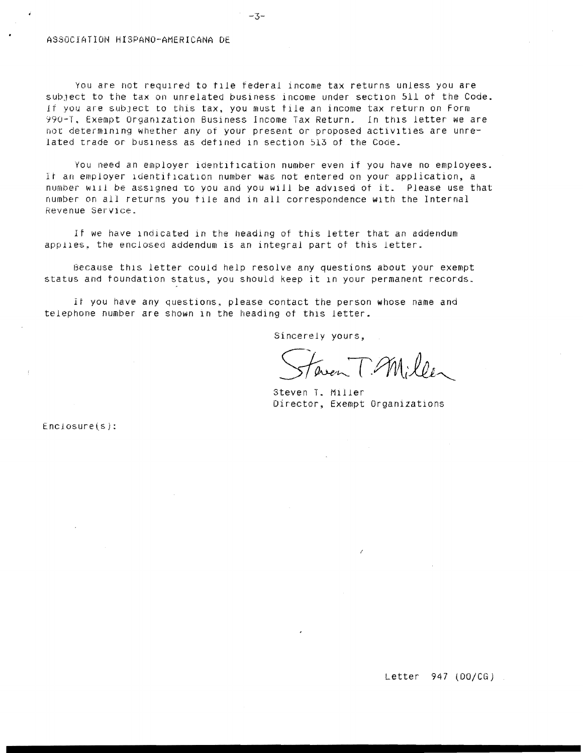#### ASSOCIATION HISPANO-AMERICANA DE

You are not requIred to tIle federal income tax returns unless you are subject to the tax on unrelated business income under section 511 ot the Code. If you are subject to this tax, you must tile an income tax return on Form 990-1. Exempt OrganIzation Business Income Tax Return. In this letter we are not determInIng whether any of your present or proposed actIVItIes are unrelated trade or business as defined in section 513 of the Code.

You need an employer identification number even if you have no employees. It an employer IdentificatIon number was not entered on your application, a number Will be assigned to you and you WIll be adVised of it. Please use that number on all returns you tIle and in all correspondence With the Internal Revenue SerVIce.

If we have indicated in the heading of this letter that an addendum applles, the enclosed addendum is an integral part of this letter.

Because this letter could help resolve any questions about your exempt status and foundation status, you should keep it In your permanent records.

it you have any questions. please contact the person whose name and telephone number are shown in the heading of this letter.

Sincerely yours,

Staren T. Miller

Steven T. MIller Director. Exempt Organizations

EncJosure(s):

Letter 947 (DO/CG)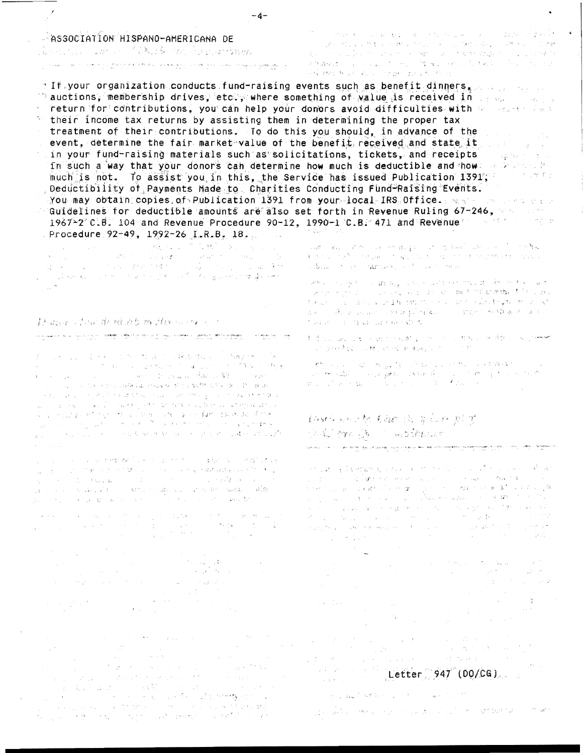### ASSOCIATION HISPANO-AMERICANA DE

はいっこう。 はかい くだいみ かくうきにはつねめ

المستعمل والمستقر والمستحدث والمستحدث والمستحدث والمستحدث والمستحدث والمستحدث والمستحدث والمستحدث والمستحدث

ette som etterne en som av till <mark>den</mark> som et av till av den som vers som att att att starte som <mark>at</mark> en å till<br>Sammet att andre till att andet att anten att andet att att att att att att andet att att att att att att att<br>E conduction and country of the conduction of the conduct  $\label{eq:convergence} \langle \psi^{\mu\nu}_{\infty}(\mathcal{C}^{\mu\nu}\mathcal{C}^{\nu\lambda}_{\infty}(\mathcal{C}^{\nu\lambda}_{\infty}(\mathcal{C}^{\nu\lambda}_{\infty}(\mathcal{C}^{\nu\lambda}_{\infty}(\mathcal{C}^{\nu\lambda}_{\infty}(\mathcal{C}^{\nu\lambda}_{\infty}(\mathcal{C}^{\nu\lambda}_{\infty}(\mathcal{C}^{\nu\lambda}_{\infty}(\mathcal{C}^{\nu\lambda}_{\infty}(\mathcal{C}^{\nu\lambda}_{\infty}(\mathcal{C}^{\nu\lambda}_{\infty}(\mathcal{C}^{\nu\lambda$ 

 $\gamma$  If your organization conducts fund-raising events such as benefit dinners, we are reader Tauctions, membership drives, etc., where something of value is received in the contract of  $\gamma$  return for contributions, you can help your donors avoid difficulties with  $\beta = \gamma_{\alpha} \gamma_{\beta}$  and their income tax returns by assisting them in determining the proper tax treatment of their contributions. To do this you should, in advance of the  $\mathcal{L} = \mathcal{L} \mathcal{L}(\mathbf{V})$ event, determine the fair market value of the benefit received and state it and state it the your fund-raising materials such as solicitations, tickets, and receipts and the serve in the first of the<br>The such a way that your donors can determine how much is deductible and how a conservation of much is not. To assist you in this, the Service has issued Publication 1391, where the Deductibility of Payments Made to Charities Conducting Fund Raising Events. You may obtain copies of Publication 1391 from your local IRS Office. The second was a proport Couldelines for deductible amounts are also set forth in Revenue Ruling 67-246, 1967-2 C.B. 104 and Revenue Procedure 90-12, 1990-1 C.B. 471 and Revenue  $\sim 2\pi^2_{\rm M}$  (  $\sim$ 

 $\sim 100$ 

 $-4-$ 

Procedure 92-49, 1992-26 I.R.B. 18.  $\sim$   $\sim$ 

机回旋 人名梅尔维伦姆 改变 辦 医鼓吹吸入器 医二十

ים.<br>בשל השל של של באירופי במקום של המשלך במשליכה במשליכה בשל היום לא הילדי ביום את המשלך היום מהיום היום במשליכה מ<br>היה היום המשך היה המשליכה ביום אחד הממודד בין היה המודינה היה את היה היה היה היה היה היה היה היה המשליכה

 $\begin{split} \mathcal{J}_{\alpha\beta}^{(1)}&= \sqrt{2} \left[ \cos \left( \frac{\pi}{2} \left( \frac{1}{2} \right) \right) \left( \frac{1}{2} \right) \left( \frac{1}{2} \right) \left( \frac{1}{2} \right) \left( \frac{1}{2} \right) \left( \frac{1}{2} \right) \left( \frac{1}{2} \right) \left( \frac{1}{2} \right) \left( \frac{1}{2} \right) \left( \frac{1}{2} \right) \left( \frac{1}{2} \right) \left( \frac{1}{2} \right) \left( \frac{1}{2} \right) \left( \frac{$ such as the control dependence in this result is the first of the second state of the second  $\langle \sigma(t) \rangle = \rho_{\rm{max}} \left( \gamma_{\rm{max}} \right) \wedge \langle \sigma(t) \rangle \wedge \langle \sigma(t) \rangle \wedge \langle \sigma(t) \rangle \wedge \langle \sigma(t) \rangle \wedge \langle \sigma(t) \rangle \wedge \langle \sigma(t) \rangle \wedge \langle \sigma(t) \rangle \wedge \langle \sigma(t) \rangle \wedge \langle \sigma(t) \rangle \wedge \langle \sigma(t) \rangle \wedge \langle \sigma(t) \rangle \wedge \langle \sigma(t) \rangle \wedge \langle \sigma(t) \rangle \wedge \langle \sigma(t) \rangle \wedge \langle \sigma(t) \rangle \wedge \langle \sigma(t) \rangle \wedge \langle \sigma(t) \rangle \w$ ರ ಪ್ರಸಾದ ಸಂಸ್ಥೆಯ ಸಂಸ್ಥೆಯ ಸಂಸ್ಥೆಯ ಸಂಸ್ಥೆಯ ಸಂಸ್ಥೆಯ ಸಂಸ್ಥೆಯ ಸಂಸ್ಥೆಯ ಸಂಸ್ಥೆಯ ಸಂಸ್ಥೆಯ ಸಂಸ್ಥೆಯ ಸಂಸ್ಥೆಯ ಸಂಸ್ಥೆಯ ಸಂಸ್ಥ<br>ಪ್ರಸಾದ ಸಂಸ್ಥೆಯ ಸಂಸ್ಥೆಯ ಸಂಸ್ಥೆಯ ಸಂಸ್ಥೆಯ ಸಂಸ್ಥೆಯ ಸಂಸ್ಥೆಯ ಸಂಸ್ಥೆಯ ಸಂಸ್ಥೆಯ ಸಂಸ್ಥೆಯ ಸಂಸ್ಥೆಯ ಸಂಸ್ಥೆಯ ಸಂಸ್ಥೆಯ ಸಂಸ್ಥೆಯ ಾಲು ಸಂಪಾದಕ್ಕೆ ಸಂಘೋಷಿಸಿದ್ದಾರೆ. ಅವರ ಸಂಸ್ಥೆ ಮಾಡಿದ ಕಾರ್ಯಕ್ರಮ ಕಾರ್ಯಕ್ರಮ ಮಾಡಿದರು.<br>ಸಂಸ್ಥೆ ಹಾಗೂ ಸಂಸ್ಥೆಗಳಿಗೆ ಕೈಲಿ ನಡೆಸಿದ್ದಾರೆ. ಅವರ ಸಂಸ್ಥೆ ಮಾಡಿದ ಕಾರ್ಯಕ್ರಮ ಕಾರ್ಯಕ್ರಮ ಕಾರ್ಯಕ್ರಮ ಕಾರ್ಯಕ್ರಮ ಕಾರ್ಯಕ್ರಮ<br>ಹಾಗೂ ಸಂಸ್ಥೆಗಳ ಸಂಸ್ಥೆಗಳಿಗೆ ಸಂಸ್ಥೆಗಳ  $\tilde{B}(\tilde{\omega})$  .  $\alpha = 1, 1, 2, 5$ 

such a complete the policy of the complete state of the second state and  $\frac{1}{2\pi} \left[ \left( \frac{1}{2} \right)^2 \left( \frac{1}{2} \Phi^2 \left( \frac{1}{2} \right)^2 \left( \frac{1}{2} \Phi^2 \left( \frac{1}{2} \right)^2 \right) + \left( \frac{1}{2} \Phi^2 \left( \frac{1}{2} \right)^2 \right) \right] \right] \left( \frac{1}{2} \Phi^2 \left( \frac{1}{2} \Phi^2 \left( \frac{1}{2} \right)^2 \right) \right) \left( \frac{1}{2} \Phi^2 \left( \frac{1}{2} \Phi^2 \left( \frac{1}{2} \right)^2 \right) \right) \$  $\sim$  $\mathcal{V}_{\mathcal{L}}$ an and the second state of the company of the second second second second second second second second second second second second second second second second second second second second second second second second second s and the state of the state and the state of the state of the state of the

 $\begin{split} \mathcal{A}(\frac{1}{2})^2&=\left(\frac{1}{2}\left(1-\frac{1}{2}\right)\left(\frac{1}{2}\right)^2+\left(\frac{1}{2}\left(\frac{1}{2}\right)\left(\frac{1}{2}\right)\right)^2+\left(\frac{1}{2}\left(\frac{1}{2}\right)\left(\frac{1}{2}\right)\right)^2+\left(\frac{1}{2}\left(\frac{1}{2}\right)\left(\frac{1}{2}\right)\right)^2+\left(\frac{1}{2}\left(\frac{1}{2}\right)\left(\frac{1}{2}\right)\left(\frac{1}{2}\right)\right)^2\\ &\qquad\qquad\left(\frac{1}{2}\left(\frac{1}{2}\right)\left(\$  $\mathbf{r}$  $\sim 10$ an Salaman<br>Salaman Salaman<br>Salaman Salaman  $\mathcal{O}(\mathcal{O}_{\mathcal{A}}^{\mathcal{A}})$  , where  $\mathcal{O}_{\mathcal{A}}^{\mathcal{A}}$  and  $\mathcal{O}_{\mathcal{A}}^{\mathcal{A}}$  $\label{eq:2} \begin{split} \mathcal{L}_{\text{max}}(\mathcal{L}_{\text{max}}) = \frac{1}{2} \sum_{i=1}^{N} \mathcal{L}_{\text{max}}(\mathcal{L}_{\text{max}}) \mathcal{L}_{\text{max}}(\mathcal{L}_{\text{max}}) \mathcal{L}_{\text{max}}(\mathcal{L}_{\text{max}}) \mathcal{L}_{\text{max}}(\mathcal{L}_{\text{max}}) \mathcal{L}_{\text{max}}(\mathcal{L}_{\text{max}}) \mathcal{L}_{\text{max}}(\mathcal{L}_{\text{max}}) \mathcal{L}_{\text{max}}(\mathcal{L}_{\text{max}}) \mathcal{L}_{$ 

 $\label{eq:2.1} \begin{split} \mathcal{F}^{(1)}_{\text{max}}(x) &= \frac{1}{x^2} \left( x \right)^{-\frac{1}{2}} \left( \begin{array}{cc} 1 & \text{if } \\ & \text{if } \\ & \text{if } \\ & \text{if } \end{array} \right) \end{split}$  $\label{eq:2} \mathcal{F}(\mathcal{F}) = \mathcal{F}(\mathcal{F})$ 

 $\frac{1}{\sqrt{2}}$  .

าวเลขาย (ซึ่ง) แต่ตัวกับการเลย เหตุการของรู้รับการเด็กเหตุการเลขายิ่งเลขาวเราเก่า เป็นเป็นที่สุด<br>รับสังคม (เป็นที่ 19 ปี เป็นที่สุดของ เป็นรับสังคม (เป็นการเก่ายว่า เป็นการเก่ายว่า สุดของเด็กของเด็ก<br>เป็นรับและ (เป็นเป็นกา

onthis consistent in a state to a straight of the state of the state of the state of the state of the state of can be a special continuously controlled in an impact of the property of the couple New Products and American Contracts

the consecution of the contract of the contract of the contract of the contract of the 的复数建数 化槽子酸 电接触 机电阻

## Distinct the Chapter plant  $\langle \hat{h}(\hat{\mathbf{x}}_i), \hat{\mathbf{r}} \mathbf{y}_i \rangle, \langle \hat{\mathbf{y}}_i \rangle \in \mathbb{R}^{n \times d} \mathbb{R}^{d} \mathbb{R}^{d \times d \times d}$

.<br>In the South Company of the South Marian Company and the search of the South Company of the South House Company

 $\mathcal{L}_{\rm{max}} \approx 10^{-2}$  .  $\frac{d}{dt}$  .

 $\begin{split} \mathcal{L}_{\text{max}}(\mathcal{L}_{\text{max}}(\mathcal{L}_{\text{max}}(\mathcal{L}_{\text{max}}(\mathcal{L}_{\text{max}}(\mathcal{L}_{\text{max}}(\mathcal{L}_{\text{max}}(\mathcal{L}_{\text{max}}(\mathcal{L}_{\text{max}}(\mathcal{L}_{\text{max}}(\mathcal{L}_{\text{max}}(\mathcal{L}_{\text{max}}(\mathcal{L}_{\text{max}}(\mathcal{L}_{\text{max}}(\mathcal{L}_{\text{max}}(\mathcal{L}_{\text{max}}(\mathcal{L}_{\text{max}}(\mathcal{L}_{\text{max}}(\mathcal{L}_{\text{max}}(\mathcal{L}_{$  $\sim 10^{-11}$ **Catalogue**  $\mathcal{L}_{\mathbf{A}}=\mathcal{L}_{\mathbf{A}}\mathcal{L}_{\mathbf{A}}$  .  $\label{eq:2} \frac{1}{2}\sum_{i=1}^n\frac{1}{2}\sum_{j=1}^n\frac{1}{2}\sum_{j=1}^n\frac{1}{2}\sum_{j=1}^n\frac{1}{2}\sum_{j=1}^n\frac{1}{2}\sum_{j=1}^n\frac{1}{2}\sum_{j=1}^n\frac{1}{2}\sum_{j=1}^n\frac{1}{2}\sum_{j=1}^n\frac{1}{2}\sum_{j=1}^n\frac{1}{2}\sum_{j=1}^n\frac{1}{2}\sum_{j=1}^n\frac{1}{2}\sum_{j=1}^n\frac{1}{2}\sum_{j=1}^n\frac{$  $\sim 10^{-1}$ 

Control Agent Address Control Communications

profile a more of provided a country of straight and the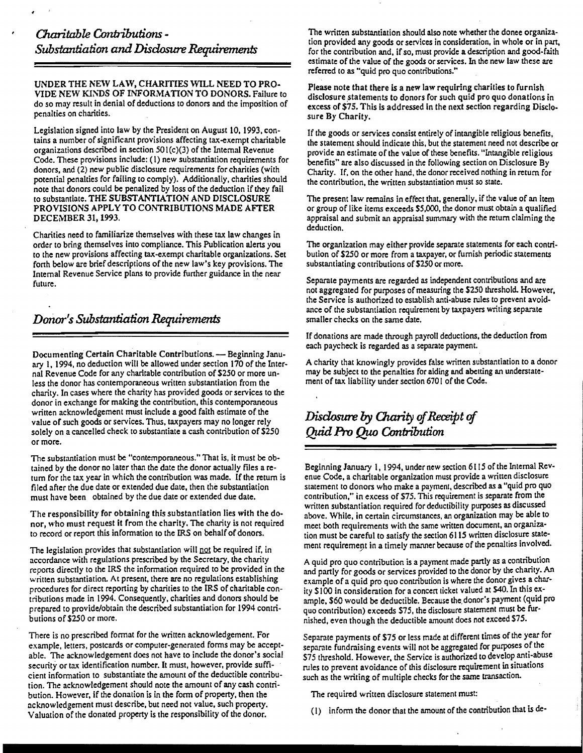UNDER THE NEW LAW, CHARITIES WILL NEED TO PRO-VIDE NEW KINDS OF INFORMATION TO DONORS. Failure to do so may result in denial of deductions to donors and the imposition of penalties on charities.

Legislation signed into law by the President on August 10. 1993. contains a number of significant provisions affecting tax-exempt charitable organizations described in section 501(c)(3) of the Internal Revenue Code. These provisions include: (I) new substantiation requirements for donors. and (2) new public disclosure requirements for charities (with potential penalties for failing to comply). Additionally. charities should note that donors could be penalized by loss of the deduction if they fail to substantiate. THE SUBSTANTIATION AND DISCLOSURE PROVISIONS APPLY TO CONTRIBUTIONS MADE AFTER DECEMBER 31,1993.

Charities need to familiarize themselves with these tax law changes in order to bring themselves into compliance. This Publication alerts you to the new provisions affecting tax-exempt charitable organizations. Set forth below are brief descriptions of the new law's key provisions. The Internal Revenue Service plans to provide further guidance in the near future. The contract of the contract of the contract of the contract of the contract of the contract of the contract of the contract of the contract of the contract of the contract of the contract of the contract of the co

## *Doiwr's Substantiation Requirements*

Documenting Certain Charitable Contributions. - Beginning January 1. 1994. no deduction will be allowed under section 170 of the internal Revenue Code for any charitable contribution of \$250 or more unless the donor has contemporaneous written substantiation from the charity. In cases where the charity has provided goods or services to the donor in exchange for making the contribution. this contemporaneous written acknowledgement must include a good faith estimate of the value of such goods or services. Thus, taxpayers may no longer rely solely on a cancelled check to substantiate a cash contribution of \$250 or more.

The substantiation must be "contemporaneous." That is. it must be obtained by the donor no later than the date the donor actually files a return for the tax year in which the contribution wasmade. If the return is filed after the due date or extended due date, then the substantiation must have been obtained by the due date or extended due date.

The responsibility for obtaining this substantiation lies with the donor, who must request it from the charity. The charity is not required to record or report this information to the IRS on behalf of donors.

The legislation provides that substantiation will not be required if, in accordance with regulations prescribed by the Secretary. the charity reports directly to the IRS the information required to be provided in the written substantiation. At present, there are no regulations establishing procedures for direct reporting by charities to the IRS of charitable contributions made in 1994. Consequently, charities and donors should be prepared to provide/obtain the described substantiation for 1994 contri· butions of \$250 or more.

There is no prescribed format for the written acknowledgement. For example. letters, postcards or computer-generated forms may be acceptable. The acknowledgement does not have to include the donor's social security or tax identification number. It must, however, provide sufficient information to substantiate the amount of the deductible contribution. The acknowledgement should note the amount of any cash contribution. However, if the donation is in the form of property. then the acknowledgement must describe. but need not value. such property. Valuation of the donated property is the responsibility of the donor.

The written substantiation should also note whether the donee organization provided any goods or services in consideration, in whole or in part, for the contribution and. if so. must provide a description and good-faith estimate of the value of the goods or services. In the new law these are referred to as "quid pro quo contributions."

Please note that there is a new law requiring charities to furnish disclosure statements to donors for such quid pro quo donations in excess of \$75. This Is addressed in the next section regarding Disclosure By Charity.

If the goods or services consist entirely of intangible religious benefits. the statement should indicate this, but the statement need not describe or provide an estimate of the value of these benefits. "Intangible religious benefits" are also discussed in the following section on Disclosure By Charity. If. on the other hand, the donor received nothing in return for the contribution. the written substantiation must so state.

The present law remains in effect that, generally, if the value of an item or group of like items exceeds 55,000, the donor must obtain a qualified appraisal and submit an appraisal summary with the return claiming the deduction.

The organization may either provide separate statements for each contribution of \$250 or more from a taxpayer, or fumish periodic statements substantiating contributions of \$250 or more.

Separate payments are regarded as independent contributions and are not aggregated for purposes of measuring the \$250 threshold. However. the Service is authorized to establish anti-abuse rules to prevent avoidance of the substantiation requirement by taxpayers writing separate smaller checks on the same date.

If donations are made through payroll deductions, the deduction from each paycheck is regarded as a separate payment.

A charity that knowingly provides false written substantiation to a donor may be subject to the penalties for aiding and abetting an understatement of tax liability under section 6701 of the Code.

# *Disclosure* by *Ouzrity* of*Rereipt* if Qpiil*Pro Q}w Contribution*

Beginning January I. 1994. under new section 6115 of the Internal Revenue Code. a charitable organization must provide a written disclosure statement to donors who make a payment. described as a "quid pro quo contribution." in excess of \$75. This requirement is separate from the written substantiation required for deductibility purposes as discussed above. While. in certain circumstances. an organization may be able to meet both requirements with the same written document. an organization must be careful to satisfy the section 6115 written disclosure statement requirement in a timely manner because of the penalties involved.

A quid pro quo contribution is a payment made partly as a contribution and partly for goods or services provided to the donor by the charity. An example of a quid pro quo contribution is where the donor gives a charity \$100 in consideration for a concert ticket valued at \$40. In this example. \$60 would be deductible. Because the, donor's payment (quid pro quo contribution) exceeds 575. the disclosure statement must be furnished. even though the deductible amount does not exceed 575.

Separate payments of \$75 or less made at different times of the year for separate fundraising events will not be aggregated for purposes of the 575 threshold. However. the Service is authorized to develop anti-abuse rules to prevent avoidance of this disclosure requirement in situations such as the writing of multiple checks for the same transaction.

The required written disclosure statement must:

(I) inform the donor that the amount of the contribution that is de